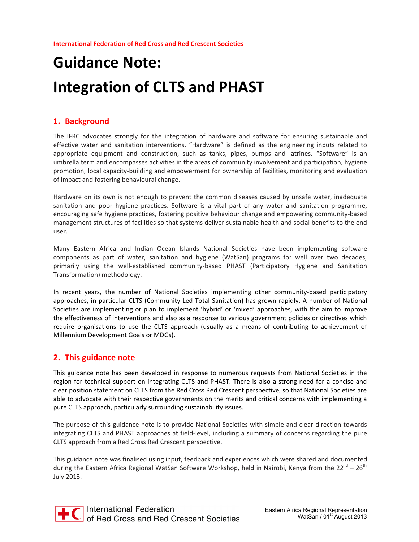# **Guidance Note: Integration of CLTS and PHAST**

#### **1. Background**

The IFRC advocates strongly for the integration of hardware and software for ensuring sustainable and effective water and sanitation interventions. "Hardware" is defined as the engineering inputs related to appropriate equipment and construction, such as tanks, pipes, pumps and latrines. "Software" is an umbrella term and encompasses activities in the areas of community involvement and participation, hygiene promotion, local capacity-building and empowerment for ownership of facilities, monitoring and evaluation of impact and fostering behavioural change.

Hardware on its own is not enough to prevent the common diseases caused by unsafe water, inadequate sanitation and poor hygiene practices. Software is a vital part of any water and sanitation programme, encouraging safe hygiene practices, fostering positive behaviour change and empowering community-based management structures of facilities so that systems deliver sustainable health and social benefits to the end user.

Many Eastern Africa and Indian Ocean Islands National Societies have been implementing software components as part of water, sanitation and hygiene (WatSan) programs for well over two decades, primarily using the well-established community-based PHAST (Participatory Hygiene and Sanitation Transformation) methodology.

In recent years, the number of National Societies implementing other community-based participatory approaches, in particular CLTS (Community Led Total Sanitation) has grown rapidly. A number of National Societies are implementing or plan to implement 'hybrid' or 'mixed' approaches, with the aim to improve the effectiveness of interventions and also as a response to various government policies or directives which require organisations to use the CLTS approach (usually as a means of contributing to achievement of Millennium Development Goals or MDGs).

#### **2. This guidance note**

This guidance note has been developed in response to numerous requests from National Societies in the region for technical support on integrating CLTS and PHAST. There is also a strong need for a concise and clear position statement on CLTS from the Red Cross Red Crescent perspective, so that National Societies are able to advocate with their respective governments on the merits and critical concerns with implementing a pure CLTS approach, particularly surrounding sustainability issues.

The purpose of this guidance note is to provide National Societies with simple and clear direction towards integrating CLTS and PHAST approaches at field-level, including a summary of concerns regarding the pure CLTS approach from a Red Cross Red Crescent perspective.

This guidance note was finalised using input, feedback and experiences which were shared and documented during the Eastern Africa Regional WatSan Software Workshop, held in Nairobi, Kenya from the 22<sup>nd</sup> – 26<sup>th</sup> July 2013.

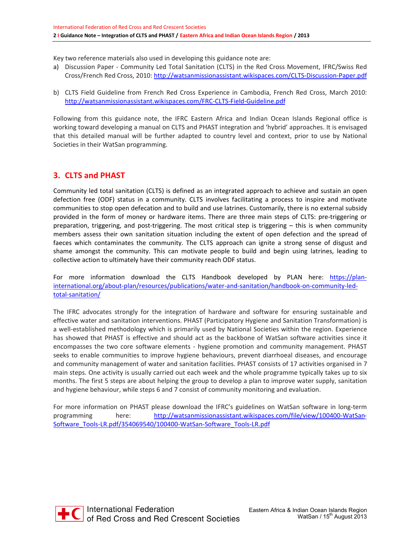Key two reference materials also used in developing this guidance note are:

- a) Discussion Paper Community Led Total Sanitation (CLTS) in the Red Cross Movement, IFRC/Swiss Red Cross/French Red Cross, 2010: <http://watsanmissionassistant.wikispaces.com/CLTS-Discussion-Paper.pdf>
- b) CLTS Field Guideline from French Red Cross Experience in Cambodia, French Red Cross, March 2010: <http://watsanmissionassistant.wikispaces.com/FRC-CLTS-Field-Guideline.pdf>

Following from this guidance note, the IFRC Eastern Africa and Indian Ocean Islands Regional office is working toward developing a manual on CLTS and PHAST integration and 'hybrid' approaches. It is envisaged that this detailed manual will be further adapted to country level and context, prior to use by National Societies in their WatSan programming.

## **3. CLTS and PHAST**

Community led total sanitation (CLTS) is defined as an integrated approach to achieve and sustain an open defection free (ODF) status in a community. CLTS involves facilitating a process to inspire and motivate communities to stop open defecation and to build and use latrines. Customarily, there is no external subsidy provided in the form of money or hardware items. There are three main steps of CLTS: pre-triggering or preparation, triggering, and post-triggering. The most critical step is triggering – this is when community members assess their own sanitation situation including the extent of open defection and the spread of faeces which contaminates the community. The CLTS approach can ignite a strong sense of disgust and shame amongst the community. This can motivate people to build and begin using latrines, leading to collective action to ultimately have their community reach ODF status.

For more information download the CLTS Handbook developed by PLAN here: https://planinternational.org/about-plan/resources/publications/water-and-sanitation/handbook-on-community-ledtotal-sanitation/

The IFRC advocates strongly for the integration of hardware and software for ensuring sustainable and effective water and sanitation interventions. PHAST (Participatory Hygiene and Sanitation Transformation) is a well-established methodology which is primarily used by National Societies within the region. Experience has showed that PHAST is effective and should act as the backbone of WatSan software activities since it encompasses the two core software elements - hygiene promotion and community management. PHAST seeks to enable communities to improve hygiene behaviours, prevent diarrhoeal diseases, and encourage and community management of water and sanitation facilities. PHAST consists of 17 activities organised in 7 main steps. One activity is usually carried out each week and the whole programme typically takes up to six months. The first 5 steps are about helping the group to develop a plan to improve water supply, sanitation and hygiene behaviour, while steps 6 and 7 consist of community monitoring and evaluation.

For more information on PHAST please download the IFRC's guidelines on WatSan software in long-term programming here: [http://watsanmissionassistant.wikispaces.com/file/view/100400-WatSan-](http://watsanmissionassistant.wikispaces.com/file/view/100400-WatSan)Software\_Tools-LR.pdf/354069540/100400-WatSan-Software\_Tools-LR.pdf

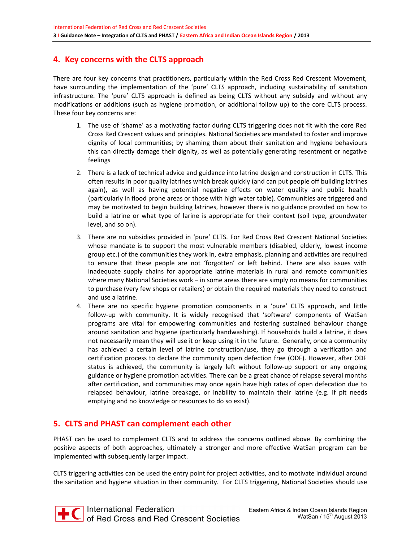# **4. Key concerns with the CLTS approach**

There are four key concerns that practitioners, particularly within the Red Cross Red Crescent Movement, have surrounding the implementation of the 'pure' CLTS approach, including sustainability of sanitation infrastructure. The 'pure' CLTS approach is defined as being CLTS without any subsidy and without any modifications or additions (such as hygiene promotion, or additional follow up) to the core CLTS process. These four key concerns are:

- 1. The use of 'shame' as a motivating factor during CLTS triggering does not fit with the core Red Cross Red Crescent values and principles. National Societies are mandated to foster and improve dignity of local communities; by shaming them about their sanitation and hygiene behaviours this can directly damage their dignity, as well as potentially generating resentment or negative feelings.
- 2. There is a lack of technical advice and guidance into latrine design and construction in CLTS. This often results in poor quality latrines which break quickly (and can put people off building latrines again), as well as having potential negative effects on water quality and public health (particularly in flood prone areas or those with high water table). Communities are triggered and may be motivated to begin building latrines, however there is no guidance provided on how to build a latrine or what type of larine is appropriate for their context (soil type, groundwater level, and so on).
- 3. There are no subsidies provided in 'pure' CLTS. For Red Cross Red Crescent National Societies whose mandate is to support the most vulnerable members (disabled, elderly, lowest income group etc.) of the communities they work in, extra emphasis, planning and activities are required to ensure that these people are not 'forgotten' or left behind. There are also issues with inadequate supply chains for appropriate latrine materials in rural and remote communities where many National Societies work – in some areas there are simply no means for communities to purchase (very few shops or retailers) or obtain the required materials they need to construct and use a latrine.
- 4. There are no specific hygiene promotion components in a 'pure' CLTS approach, and little follow-up with community. It is widely recognised that 'software' components of WatSan programs are vital for empowering communities and fostering sustained behaviour change around sanitation and hygiene (particularly handwashing). If households build a latrine, it does not necessarily mean they will use it or keep using it in the future. Generally, once a community has achieved a certain level of latrine construction/use, they go through a verification and certification process to declare the community open defection free (ODF). However, after ODF status is achieved, the community is largely left without follow-up support or any ongoing guidance or hygiene promotion activities. There can be a great chance of relapse several months after certification, and communities may once again have high rates of open defecation due to relapsed behaviour, latrine breakage, or inability to maintain their latrine (e.g. if pit needs emptying and no knowledge or resources to do so exist).

#### **5. CLTS and PHAST can complement each other**

PHAST can be used to complement CLTS and to address the concerns outlined above. By combining the positive aspects of both approaches, ultimately a stronger and more effective WatSan program can be implemented with subsequently larger impact.

CLTS triggering activities can be used the entry point for project activities, and to motivate individual around the sanitation and hygiene situation in their community. For CLTS triggering, National Societies should use



 $\overline{\bullet}$  International Federation of Red Cross and Red Crescent Societies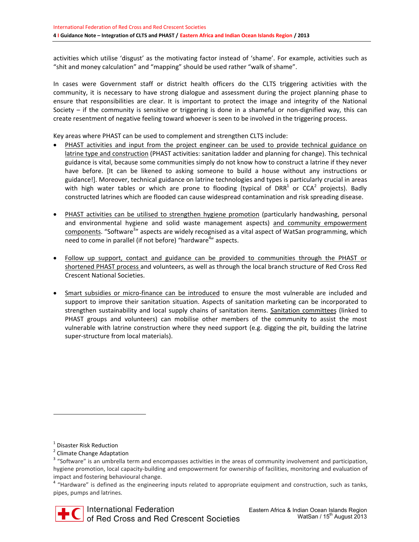activities which utilise 'disgust' as the motivating factor instead of 'shame'. For example, activities such as "shit and money calculation" and "mapping" should be used rather "walk of shame".

In cases were Government staff or district health officers do the CLTS triggering activities with the community, it is necessary to have strong dialogue and assessment during the project planning phase to ensure that responsibilities are clear. It is important to protect the image and integrity of the National Society – if the community is sensitive or triggering is done in a shameful or non-dignified way, this can create resentment of negative feeling toward whoever is seen to be involved in the triggering process.

Key areas where PHAST can be used to complement and strengthen CLTS include:

- PHAST activities and input from the project engineer can be used to provide technical guidance on latrine type and construction (PHAST activities: sanitation ladder and planning for change). This technical guidance is vital, because some communities simply do not know how to construct a latrine if they never have before. [It can be likened to asking someone to build a house without any instructions or guidance!]. Moreover, technical guidance on latrine technologies and types is particularly crucial in areas with high water tables or which are prone to flooding (typical of DRR<sup>1</sup> or CCA<sup>2</sup> projects). Badly constructed latrines which are flooded can cause widespread contamination and risk spreading disease.
- · PHAST activities can be utilised to strengthen hygiene promotion (particularly handwashing, personal and environmental hygiene and solid waste management aspects) and community empowerment components. "Software<sup>3</sup>" aspects are widely recognised as a vital aspect of WatSan programming, which need to come in parallel (if not before) "hardware<sup>4</sup>" aspects.
- · Follow up support, contact and guidance can be provided to communities through the PHAST or shortened PHAST process and volunteers, as well as through the local branch structure of Red Cross Red Crescent National Societies.
- · Smart subsidies or micro-finance can be introduced to ensure the most vulnerable are included and support to improve their sanitation situation. Aspects of sanitation marketing can be incorporated to strengthen sustainability and local supply chains of sanitation items. Sanitation committees (linked to PHAST groups and volunteers) can mobilise other members of the community to assist the most vulnerable with latrine construction where they need support (e.g. digging the pit, building the latrine super-structure from local materials).

 $\overline{a}$ 

<sup>&</sup>lt;sup>1</sup> Disaster Risk Reduction

<sup>&</sup>lt;sup>2</sup> Climate Change Adaptation

<sup>&</sup>lt;sup>3</sup> "Software" is an umbrella term and encompasses activities in the areas of community involvement and participation, hygiene promotion, local capacity-building and empowerment for ownership of facilities, monitoring and evaluation of impact and fostering behavioural change.

<sup>&</sup>lt;sup>4</sup> "Hardware" is defined as the engineering inputs related to appropriate equipment and construction, such as tanks, pipes, pumps and latrines.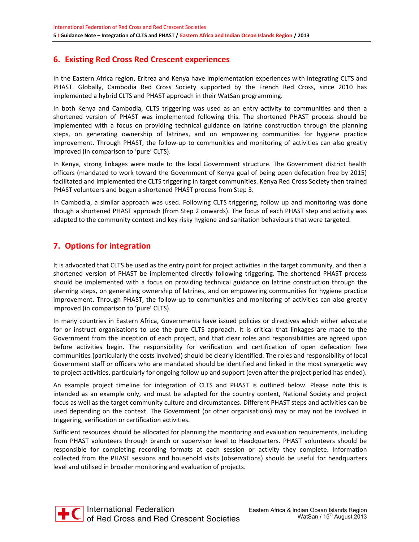# **6. Existing Red Cross Red Crescent experiences**

In the Eastern Africa region, Eritrea and Kenya have implementation experiences with integrating CLTS and PHAST. Globally, Cambodia Red Cross Society supported by the French Red Cross, since 2010 has implemented a hybrid CLTS and PHAST approach in their WatSan programming.

In both Kenya and Cambodia, CLTS triggering was used as an entry activity to communities and then a shortened version of PHAST was implemented following this. The shortened PHAST process should be implemented with a focus on providing technical guidance on latrine construction through the planning steps, on generating ownership of latrines, and on empowering communities for hygiene practice improvement. Through PHAST, the follow-up to communities and monitoring of activities can also greatly improved (in comparison to 'pure' CLTS).

In Kenya, strong linkages were made to the local Government structure. The Government district health officers (mandated to work toward the Government of Kenya goal of being open defecation free by 2015) facilitated and implemented the CLTS triggering in target communities. Kenya Red Cross Society then trained PHAST volunteers and begun a shortened PHAST process from Step 3.

In Cambodia, a similar approach was used. Following CLTS triggering, follow up and monitoring was done though a shortened PHAST approach (from Step 2 onwards). The focus of each PHAST step and activity was adapted to the community context and key risky hygiene and sanitation behaviours that were targeted.

## **7. Options for integration**

It is advocated that CLTS be used as the entry point for project activities in the target community, and then a shortened version of PHAST be implemented directly following triggering. The shortened PHAST process should be implemented with a focus on providing technical guidance on latrine construction through the planning steps, on generating ownership of latrines, and on empowering communities for hygiene practice improvement. Through PHAST, the follow-up to communities and monitoring of activities can also greatly improved (in comparison to 'pure' CLTS).

In many countries in Eastern Africa, Governments have issued policies or directives which either advocate for or instruct organisations to use the pure CLTS approach. It is critical that linkages are made to the Government from the inception of each project, and that clear roles and responsibilities are agreed upon before activities begin. The responsibility for verification and certification of open defecation free communities (particularly the costs involved) should be clearly identified. The roles and responsibility of local Government staff or officers who are mandated should be identified and linked in the most synergetic way to project activities, particularly for ongoing follow up and support (even after the project period has ended).

An example project timeline for integration of CLTS and PHAST is outlined below. Please note this is intended as an example only, and must be adapted for the country context, National Society and project focus as well as the target community culture and circumstances. Different PHAST steps and activities can be used depending on the context. The Government (or other organisations) may or may not be involved in triggering, verification or certification activities.

Sufficient resources should be allocated for planning the monitoring and evaluation requirements, including from PHAST volunteers through branch or supervisor level to Headquarters. PHAST volunteers should be responsible for completing recording formats at each session or activity they complete. Information collected from the PHAST sessions and household visits (observations) should be useful for headquarters level and utilised in broader monitoring and evaluation of projects.